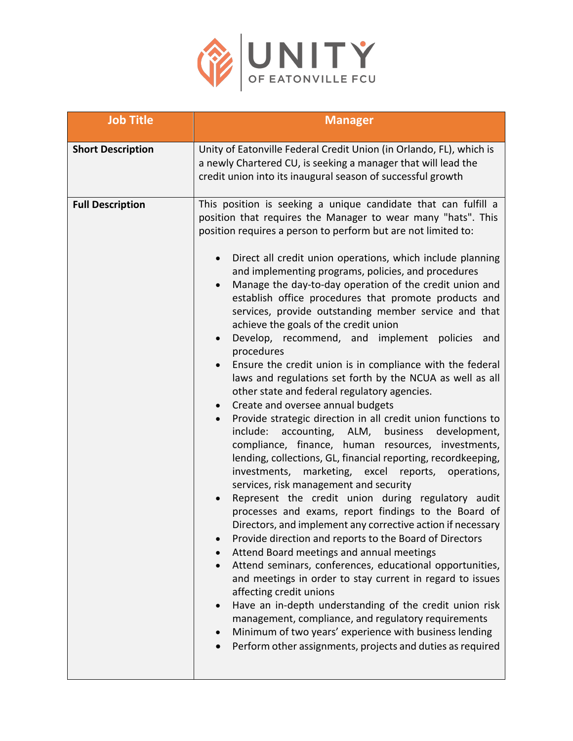

| <b>Job Title</b>         | <b>Manager</b>                                                                                                                                                                                                                                                                                                                                                                                                                                                                                                                                                                                                                                                                                                                                                                                                                                                                                                                                                                                                                                                                                                                                                                                                                                                                                                                                                                                                                                                                                                                                                                                                                                                                                                                                                                                                                                                                            |
|--------------------------|-------------------------------------------------------------------------------------------------------------------------------------------------------------------------------------------------------------------------------------------------------------------------------------------------------------------------------------------------------------------------------------------------------------------------------------------------------------------------------------------------------------------------------------------------------------------------------------------------------------------------------------------------------------------------------------------------------------------------------------------------------------------------------------------------------------------------------------------------------------------------------------------------------------------------------------------------------------------------------------------------------------------------------------------------------------------------------------------------------------------------------------------------------------------------------------------------------------------------------------------------------------------------------------------------------------------------------------------------------------------------------------------------------------------------------------------------------------------------------------------------------------------------------------------------------------------------------------------------------------------------------------------------------------------------------------------------------------------------------------------------------------------------------------------------------------------------------------------------------------------------------------------|
| <b>Short Description</b> | Unity of Eatonville Federal Credit Union (in Orlando, FL), which is<br>a newly Chartered CU, is seeking a manager that will lead the<br>credit union into its inaugural season of successful growth                                                                                                                                                                                                                                                                                                                                                                                                                                                                                                                                                                                                                                                                                                                                                                                                                                                                                                                                                                                                                                                                                                                                                                                                                                                                                                                                                                                                                                                                                                                                                                                                                                                                                       |
| <b>Full Description</b>  | This position is seeking a unique candidate that can fulfill a<br>position that requires the Manager to wear many "hats". This<br>position requires a person to perform but are not limited to:<br>Direct all credit union operations, which include planning<br>and implementing programs, policies, and procedures<br>Manage the day-to-day operation of the credit union and<br>establish office procedures that promote products and<br>services, provide outstanding member service and that<br>achieve the goals of the credit union<br>Develop, recommend, and implement policies<br>and<br>$\bullet$<br>procedures<br>Ensure the credit union is in compliance with the federal<br>laws and regulations set forth by the NCUA as well as all<br>other state and federal regulatory agencies.<br>Create and oversee annual budgets<br>$\bullet$<br>Provide strategic direction in all credit union functions to<br>include:<br>accounting, ALM, business development,<br>compliance, finance, human resources, investments,<br>lending, collections, GL, financial reporting, recordkeeping,<br>investments,<br>marketing, excel reports, operations,<br>services, risk management and security<br>Represent the credit union during regulatory audit<br>processes and exams, report findings to the Board of<br>Directors, and implement any corrective action if necessary<br>Provide direction and reports to the Board of Directors<br>Attend Board meetings and annual meetings<br>Attend seminars, conferences, educational opportunities,<br>and meetings in order to stay current in regard to issues<br>affecting credit unions<br>Have an in-depth understanding of the credit union risk<br>management, compliance, and regulatory requirements<br>Minimum of two years' experience with business lending<br>Perform other assignments, projects and duties as required |